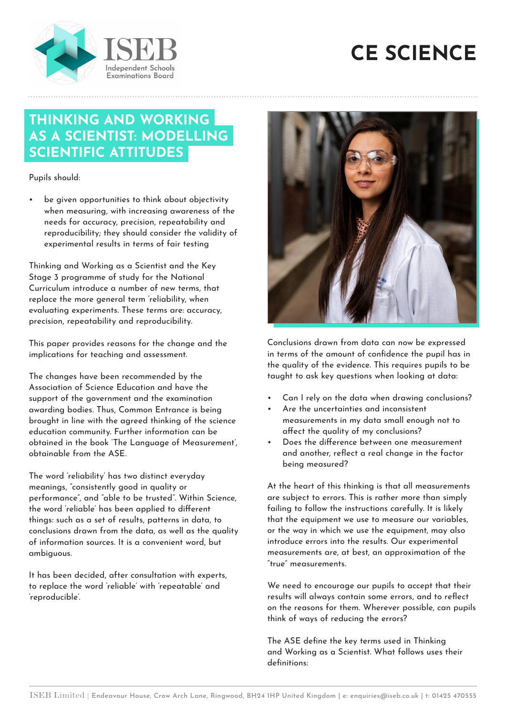



## **THINKING AND WORKING AS A SCIENTIST: MODELLING SCIENTIFIC ATTITUDES**

Pupils should:

be given opportunities to think about objectivity when measuring, with increasing awareness of the needs for accuracy, precision, repeatability and reproducibility; they should consider the validity of experimental results in terms of fair testing

Thinking and Working as a Scientist and the Key Stage 3 programme of study for the National Curriculum introduce a number of new terms, that replace the more general term 'reliability, when evaluating experiments. These terms are: accuracy, precision, repeatability and reproducibility.

This paper provides reasons for the change and the implications for teaching and assessment.

The changes have been recommended by the Association of Science Education and have the support of the government and the examination awarding bodies. Thus, Common Entrance is being brought in line with the agreed thinking of the science education community. Further information can be obtained in the book 'The Language of Measurement', obtainable from the ASE.

The word 'reliability' has two distinct everyday meanings, "consistently good in quality or performance", and "able to be trusted". Within Science, the word 'reliable' has been applied to different things: such as a set of results, patterns in data, to conclusions drawn from the data, as well as the quality of information sources. It is a convenient word, but ambiguous.

It has been decided, after consultation with experts, to replace the word 'reliable' with 'repeatable' and 'reproducible'.



Conclusions drawn from data can now be expressed in terms of the amount of confidence the pupil has in the quality of the evidence. This requires pupils to be taught to ask key questions when looking at data:

- Can I rely on the data when drawing conclusions?
- Are the uncertainties and inconsistent measurements in my data small enough not to affect the quality of my conclusions?
- Does the difference between one measurement and another, reflect a real change in the factor being measured?

At the heart of this thinking is that all measurements are subject to errors. This is rather more than simply failing to follow the instructions carefully. It is likely that the equipment we use to measure our variables, or the way in which we use the equipment, may also introduce errors into the results. Our experimental measurements are, at best, an approximation of the "true" measurements.

We need to encourage our pupils to accept that their results will always contain some errors, and to reflect on the reasons for them. Wherever possible, can pupils think of ways of reducing the errors?

The ASE define the key terms used in Thinking and Working as a Scientist. What follows uses their definitions: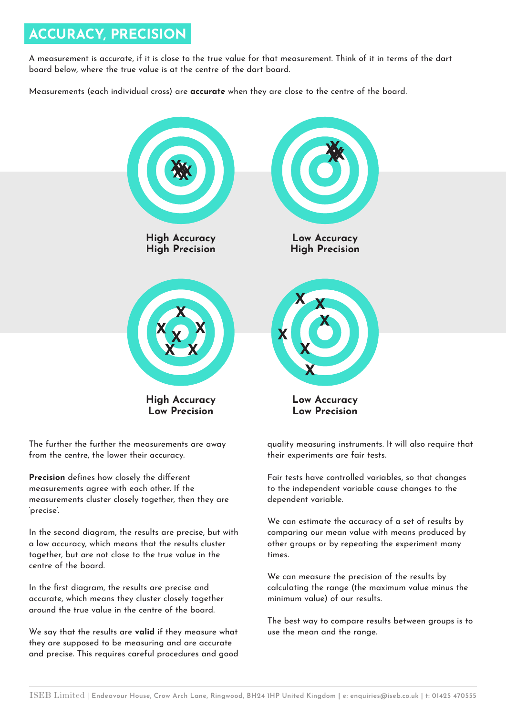## **ACCURACY, PRECISION**

A measurement is accurate, if it is close to the true value for that measurement. Think of it in terms of the dart board below, where the true value is at the centre of the dart board.

Measurements (each individual cross) are **accurate** when they are close to the centre of the board.



The further the further the measurements are away from the centre, the lower their accuracy.

**Precision** defines how closely the different measurements agree with each other. If the measurements cluster closely together, then they are 'precise'.

In the second diagram, the results are precise, but with a low accuracy, which means that the results cluster together, but are not close to the true value in the centre of the board.

In the first diagram, the results are precise and accurate, which means they cluster closely together around the true value in the centre of the board.

We say that the results are **valid** if they measure what they are supposed to be measuring and are accurate and precise. This requires careful procedures and good quality measuring instruments. It will also require that their experiments are fair tests.

Fair tests have controlled variables, so that changes to the independent variable cause changes to the dependent variable.

We can estimate the accuracy of a set of results by comparing our mean value with means produced by other groups or by repeating the experiment many times.

We can measure the precision of the results by calculating the range (the maximum value minus the minimum value) of our results.

The best way to compare results between groups is to use the mean and the range.